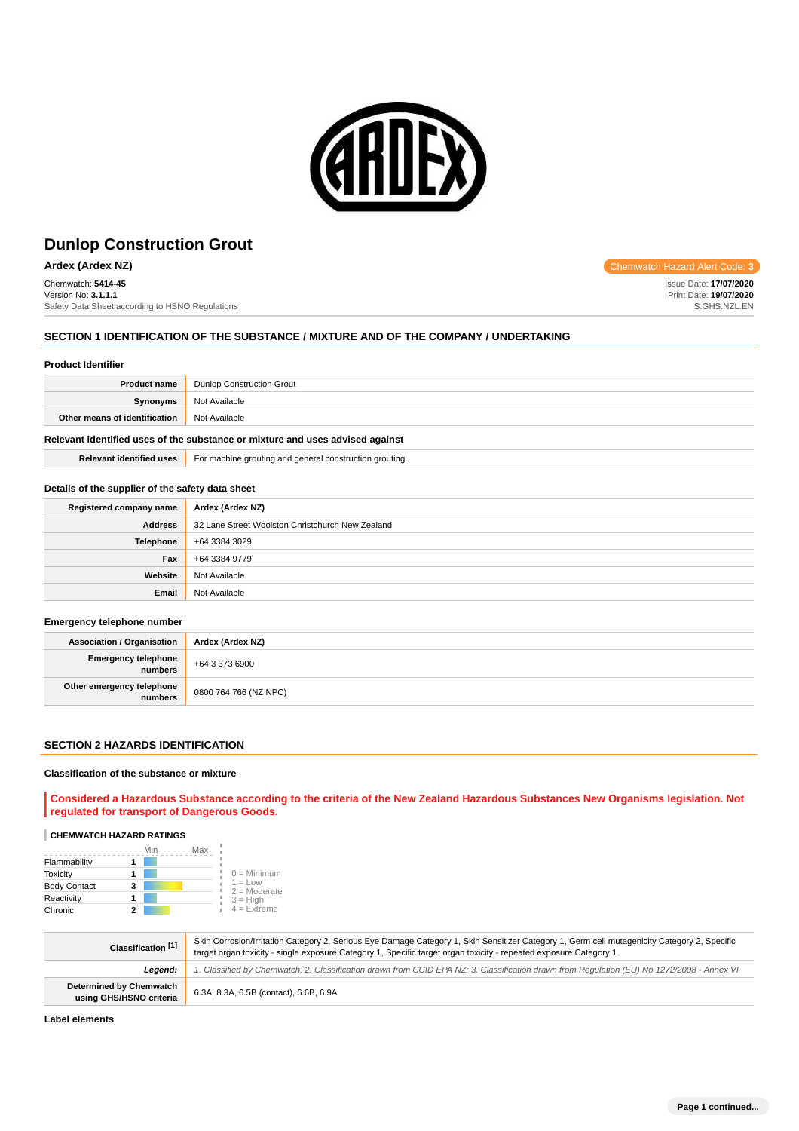

**Ardex (Ardex NZ) Chemwatch Hazard Alert Code: 3** 

Chemwatch: **5414-45** Version No: **3.1.1.1** Safety Data Sheet according to HSNO Regulations

# **SECTION 1 IDENTIFICATION OF THE SUBSTANCE / MIXTURE AND OF THE COMPANY / UNDERTAKING**

#### **Product Identifier**

| <b>Product name</b>           | <b>Dunlop Construction Grout</b> |
|-------------------------------|----------------------------------|
| Synonyms                      | Not Available                    |
| Other means of identification | Not Available                    |
|                               |                                  |

# **Relevant identified uses of the substance or mixture and uses advised against**

**Relevant identified uses** For machine grouting and general construction grouting.

#### **Details of the supplier of the safety data sheet**

| Registered company name | Ardex (Ardex NZ)                                 |
|-------------------------|--------------------------------------------------|
| <b>Address</b>          | 32 Lane Street Woolston Christchurch New Zealand |
| <b>Telephone</b>        | +64 3384 3029                                    |
| Fax                     | +64 3384 9779                                    |
| Website                 | Not Available                                    |
| Email                   | Not Available                                    |

#### **Emergency telephone number**

| Association / Organisation             | Ardex (Ardex NZ)      |
|----------------------------------------|-----------------------|
| Emergency telephone $+6433736900$      |                       |
| Other emergency telephone<br>  numbers | 0800 764 766 (NZ NPC) |

#### **SECTION 2 HAZARDS IDENTIFICATION**

#### **Classification of the substance or mixture**

**Considered a Hazardous Substance according to the criteria of the New Zealand Hazardous Substances New Organisms legislation. Not regulated for transport of Dangerous Goods.**

# **CHEMWATCH HAZARD RATINGS**

|                     | Min | Max |                             |
|---------------------|-----|-----|-----------------------------|
| Flammability        |     |     |                             |
| <b>Toxicity</b>     |     |     | $0 =$ Minimum               |
| <b>Body Contact</b> | 3   |     | $1 = Low$<br>$2 =$ Moderate |
| Reactivity          |     |     | $3 = High$                  |
| Chronic             |     |     | $4 =$ Extreme               |

| Classification [1]                                        | Skin Corrosion/Irritation Category 2, Serious Eye Damage Category 1, Skin Sensitizer Category 1, Germ cell mutagenicity Category 2, Specific<br>target organ toxicity - single exposure Category 1, Specific target organ toxicity - repeated exposure Category 1 |
|-----------------------------------------------------------|-------------------------------------------------------------------------------------------------------------------------------------------------------------------------------------------------------------------------------------------------------------------|
| Leaend:                                                   | 1. Classified by Chemwatch; 2. Classification drawn from CCID EPA NZ; 3. Classification drawn from Requlation (EU) No 1272/2008 - Annex VI                                                                                                                        |
| <b>Determined by Chemwatch</b><br>using GHS/HSNO criteria | 6.3A, 8.3A, 6.5B (contact), 6.6B, 6.9A                                                                                                                                                                                                                            |

**Label elements**

Issue Date: **17/07/2020** Print Date: **19/07/2020** S.GHS.NZL.EN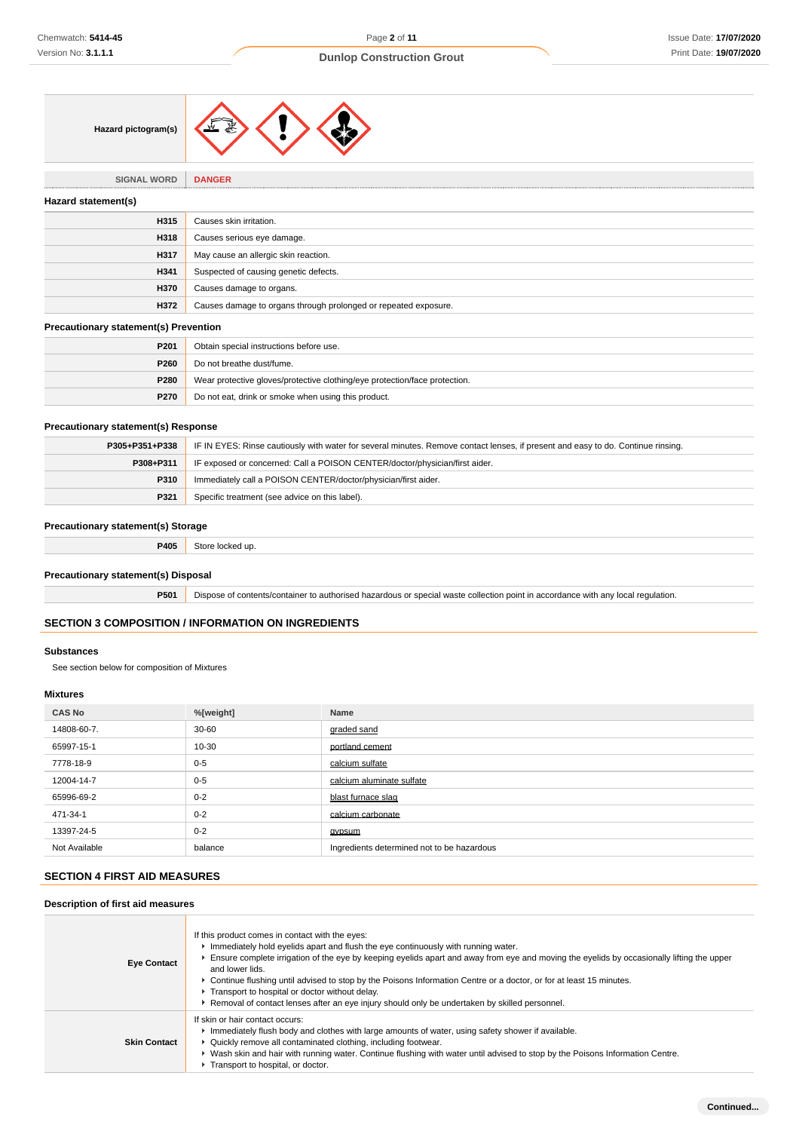

**SIGNAL WORD DANGER**

#### **Hazard statement(s)**

| Hazard statement(s) |                                                                 |
|---------------------|-----------------------------------------------------------------|
| H315                | Causes skin irritation.                                         |
| H318                | Causes serious eye damage.                                      |
| H317                | May cause an allergic skin reaction.                            |
| H341                | Suspected of causing genetic defects.                           |
| H370                | Causes damage to organs.                                        |
| H372                | Causes damage to organs through prolonged or repeated exposure. |
|                     |                                                                 |

## **Precautionary statement(s) Prevention**

| P <sub>201</sub> | Obtain special instructions before use.                                    |
|------------------|----------------------------------------------------------------------------|
| P <sub>260</sub> | Do not breathe dust/fume.                                                  |
| <b>P280</b>      | Wear protective gloves/protective clothing/eye protection/face protection. |
| <b>P270</b>      | Do not eat, drink or smoke when using this product.                        |

## **Precautionary statement(s) Response**

| P305+P351+P338 | IF IN EYES: Rinse cautiously with water for several minutes. Remove contact lenses, if present and easy to do. Continue rinsing. |
|----------------|----------------------------------------------------------------------------------------------------------------------------------|
| P308+P311      | IF exposed or concerned: Call a POISON CENTER/doctor/physician/first aider.                                                      |
| <b>P310</b>    | Immediately call a POISON CENTER/doctor/physician/first aider.                                                                   |
| P321           | Specific treatment (see advice on this label).                                                                                   |

## **Precautionary statement(s) Storage**

**P405** Store locked up.

## **Precautionary statement(s) Disposal**

**P501** Dispose of contents/container to authorised hazardous or special waste collection point in accordance with any local regulation.

# **SECTION 3 COMPOSITION / INFORMATION ON INGREDIENTS**

## **Substances**

See section below for composition of Mixtures

# **Mixtures**

| <b>CAS No</b> | %[weight] | Name                                       |
|---------------|-----------|--------------------------------------------|
| 14808-60-7.   | $30 - 60$ | graded sand                                |
| 65997-15-1    | 10-30     | portland cement                            |
| 7778-18-9     | $0 - 5$   | calcium sulfate                            |
| 12004-14-7    | $0 - 5$   | calcium aluminate sulfate                  |
| 65996-69-2    | $0 - 2$   | blast furnace slag                         |
| 471-34-1      | $0 - 2$   | calcium carbonate                          |
| 13397-24-5    | $0 - 2$   | gypsum                                     |
| Not Available | balance   | Ingredients determined not to be hazardous |

# **SECTION 4 FIRST AID MEASURES**

# **Description of first aid measures**

| <b>Eye Contact</b>  | If this product comes in contact with the eyes:<br>Immediately hold eyelids apart and flush the eye continuously with running water.<br>Ensure complete irrigation of the eye by keeping eyelids apart and away from eye and moving the eyelids by occasionally lifting the upper<br>and lower lids.<br>▶ Continue flushing until advised to stop by the Poisons Information Centre or a doctor, or for at least 15 minutes.<br>F Transport to hospital or doctor without delay.<br>Removal of contact lenses after an eye injury should only be undertaken by skilled personnel. |
|---------------------|-----------------------------------------------------------------------------------------------------------------------------------------------------------------------------------------------------------------------------------------------------------------------------------------------------------------------------------------------------------------------------------------------------------------------------------------------------------------------------------------------------------------------------------------------------------------------------------|
| <b>Skin Contact</b> | If skin or hair contact occurs:<br>Immediately flush body and clothes with large amounts of water, using safety shower if available.<br>• Quickly remove all contaminated clothing, including footwear.<br>▶ Wash skin and hair with running water. Continue flushing with water until advised to stop by the Poisons Information Centre.<br>Transport to hospital, or doctor.                                                                                                                                                                                                    |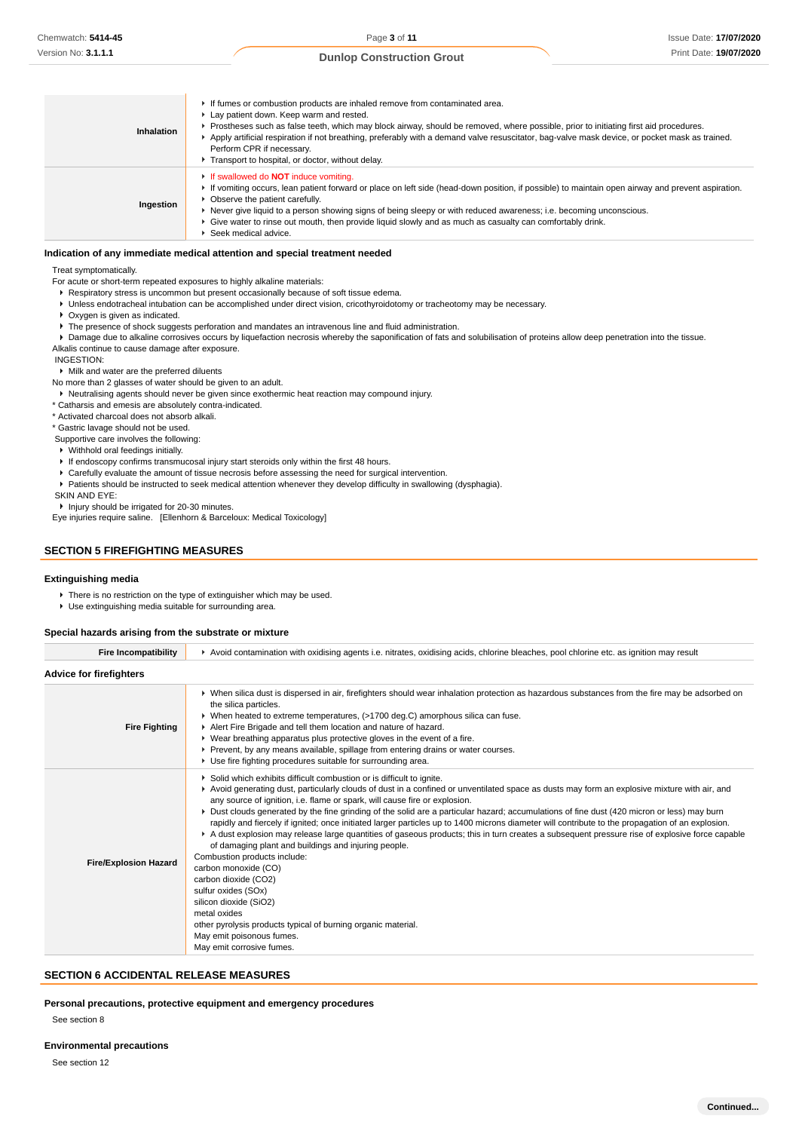Issue Date: **17/07/2020** Print Date: **19/07/2020**

#### **Dunlop Construction Grout**

| Inhalation | If fumes or combustion products are inhaled remove from contaminated area.<br>Lay patient down. Keep warm and rested.<br>▶ Prostheses such as false teeth, which may block airway, should be removed, where possible, prior to initiating first aid procedures.<br>Apply artificial respiration if not breathing, preferably with a demand valve resuscitator, bag-valve mask device, or pocket mask as trained.<br>Perform CPR if necessary.<br>Transport to hospital, or doctor, without delay.                 |
|------------|-------------------------------------------------------------------------------------------------------------------------------------------------------------------------------------------------------------------------------------------------------------------------------------------------------------------------------------------------------------------------------------------------------------------------------------------------------------------------------------------------------------------|
| Ingestion  | If swallowed do <b>NOT</b> induce vomiting.<br>If vomiting occurs, lean patient forward or place on left side (head-down position, if possible) to maintain open airway and prevent aspiration.<br>$\triangleright$ Observe the patient carefully.<br>▶ Never give liquid to a person showing signs of being sleepy or with reduced awareness; i.e. becoming unconscious.<br>► Give water to rinse out mouth, then provide liquid slowly and as much as casualty can comfortably drink.<br>▶ Seek medical advice. |

#### **Indication of any immediate medical attention and special treatment needed**

Treat symptomatically.

For acute or short-term repeated exposures to highly alkaline materials:

- Respiratory stress is uncommon but present occasionally because of soft tissue edema.
- Unless endotracheal intubation can be accomplished under direct vision, cricothyroidotomy or tracheotomy may be necessary.
- Oxygen is given as indicated.
- The presence of shock suggests perforation and mandates an intravenous line and fluid administration.
- Damage due to alkaline corrosives occurs by liquefaction necrosis whereby the saponification of fats and solubilisation of proteins allow deep penetration into the tissue.
- Alkalis continue to cause damage after exposure.

#### INGESTION:

#### Milk and water are the preferred diluents

No more than 2 glasses of water should be given to an adult.

Neutralising agents should never be given since exothermic heat reaction may compound injury.

\* Catharsis and emesis are absolutely contra-indicated.

\* Activated charcoal does not absorb alkali.

\* Gastric lavage should not be used.

Supportive care involves the following:

Withhold oral feedings initially.

- If endoscopy confirms transmucosal injury start steroids only within the first 48 hours.
- Carefully evaluate the amount of tissue necrosis before assessing the need for surgical intervention.
- Patients should be instructed to seek medical attention whenever they develop difficulty in swallowing (dysphagia).

SKIN AND EYE:

**Injury should be irrigated for 20-30 minutes.** 

Eye injuries require saline. [Ellenhorn & Barceloux: Medical Toxicology]

## **SECTION 5 FIREFIGHTING MEASURES**

#### **Extinguishing media**

- There is no restriction on the type of extinguisher which may be used.
- Use extinguishing media suitable for surrounding area.

#### **Special hazards arising from the substrate or mixture**

| <b>Fire Incompatibility</b>    | ▶ Avoid contamination with oxidising agents i.e. nitrates, oxidising acids, chlorine bleaches, pool chlorine etc. as ignition may result                                                                                                                                                                                                                                                                                                                                                                                                                                                                                                                                                                                                                                                                                                                                                                                                                                                                                                                                                    |
|--------------------------------|---------------------------------------------------------------------------------------------------------------------------------------------------------------------------------------------------------------------------------------------------------------------------------------------------------------------------------------------------------------------------------------------------------------------------------------------------------------------------------------------------------------------------------------------------------------------------------------------------------------------------------------------------------------------------------------------------------------------------------------------------------------------------------------------------------------------------------------------------------------------------------------------------------------------------------------------------------------------------------------------------------------------------------------------------------------------------------------------|
| <b>Advice for firefighters</b> |                                                                                                                                                                                                                                                                                                                                                                                                                                                                                                                                                                                                                                                                                                                                                                                                                                                                                                                                                                                                                                                                                             |
| <b>Fire Fighting</b>           | ▶ When silica dust is dispersed in air, firefighters should wear inhalation protection as hazardous substances from the fire may be adsorbed on<br>the silica particles.<br>► When heated to extreme temperatures, (>1700 deg.C) amorphous silica can fuse.<br>Alert Fire Brigade and tell them location and nature of hazard.<br>▶ Wear breathing apparatus plus protective gloves in the event of a fire.<br>▶ Prevent, by any means available, spillage from entering drains or water courses.<br>▶ Use fire fighting procedures suitable for surrounding area.                                                                                                                                                                                                                                                                                                                                                                                                                                                                                                                          |
| <b>Fire/Explosion Hazard</b>   | Solid which exhibits difficult combustion or is difficult to ignite.<br>▶ Avoid generating dust, particularly clouds of dust in a confined or unventilated space as dusts may form an explosive mixture with air, and<br>any source of ignition, i.e. flame or spark, will cause fire or explosion.<br>► Dust clouds generated by the fine grinding of the solid are a particular hazard; accumulations of fine dust (420 micron or less) may burn<br>rapidly and fiercely if ignited; once initiated larger particles up to 1400 microns diameter will contribute to the propagation of an explosion.<br>A dust explosion may release large quantities of gaseous products; this in turn creates a subsequent pressure rise of explosive force capable<br>of damaging plant and buildings and injuring people.<br>Combustion products include:<br>carbon monoxide (CO)<br>carbon dioxide (CO2)<br>sulfur oxides (SOx)<br>silicon dioxide (SiO2)<br>metal oxides<br>other pyrolysis products typical of burning organic material.<br>May emit poisonous fumes.<br>May emit corrosive fumes. |

## **SECTION 6 ACCIDENTAL RELEASE MEASURES**

#### **Personal precautions, protective equipment and emergency procedures**

See section 8

#### **Environmental precautions**

See section 12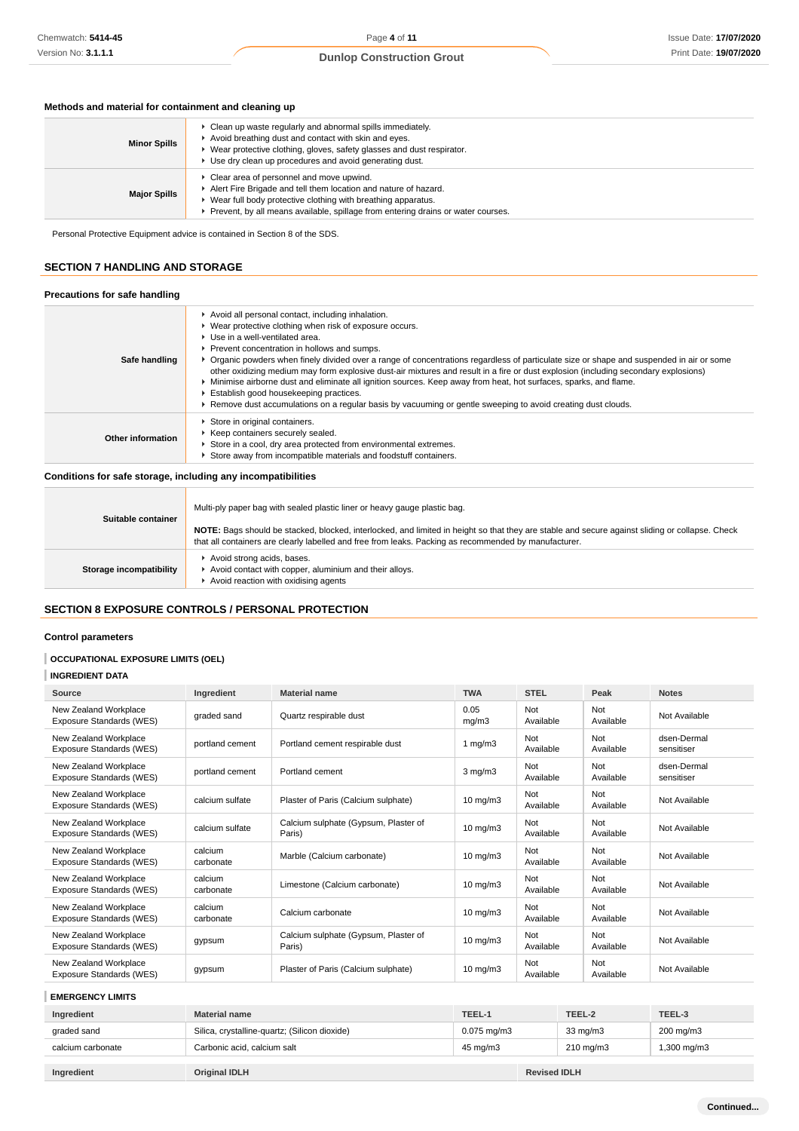# **Methods and material for containment and cleaning up**

| <b>Minor Spills</b> | ► Clean up waste regularly and abnormal spills immediately.<br>Avoid breathing dust and contact with skin and eyes.<br>► Wear protective clothing, gloves, safety glasses and dust respirator.<br>► Use dry clean up procedures and avoid generating dust.      |
|---------------------|-----------------------------------------------------------------------------------------------------------------------------------------------------------------------------------------------------------------------------------------------------------------|
| <b>Major Spills</b> | Clear area of personnel and move upwind.<br>Alert Fire Brigade and tell them location and nature of hazard.<br>Wear full body protective clothing with breathing apparatus.<br>Prevent, by all means available, spillage from entering drains or water courses. |

Personal Protective Equipment advice is contained in Section 8 of the SDS.

## **SECTION 7 HANDLING AND STORAGE**

## **Precautions for safe handling**

| Safe handling     | Avoid all personal contact, including inhalation.<br>▶ Wear protective clothing when risk of exposure occurs.<br>▶ Use in a well-ventilated area.<br>Prevent concentration in hollows and sumps.<br>▶ Organic powders when finely divided over a range of concentrations regardless of particulate size or shape and suspended in air or some<br>other oxidizing medium may form explosive dust-air mixtures and result in a fire or dust explosion (including secondary explosions)<br>Minimise airborne dust and eliminate all ignition sources. Keep away from heat, hot surfaces, sparks, and flame.<br>Establish good housekeeping practices.<br>Remove dust accumulations on a regular basis by vacuuming or gentle sweeping to avoid creating dust clouds. |
|-------------------|-------------------------------------------------------------------------------------------------------------------------------------------------------------------------------------------------------------------------------------------------------------------------------------------------------------------------------------------------------------------------------------------------------------------------------------------------------------------------------------------------------------------------------------------------------------------------------------------------------------------------------------------------------------------------------------------------------------------------------------------------------------------|
| Other information | Store in original containers.<br>Keep containers securely sealed.<br>Store in a cool, dry area protected from environmental extremes.<br>Store away from incompatible materials and foodstuff containers.                                                                                                                                                                                                                                                                                                                                                                                                                                                                                                                                                         |

**Conditions for safe storage, including any incompatibilities**

| Suitable container      | Multi-ply paper bag with sealed plastic liner or heavy gauge plastic bag.<br>NOTE: Bags should be stacked, blocked, interlocked, and limited in height so that they are stable and secure against sliding or collapse. Check<br>that all containers are clearly labelled and free from leaks. Packing as recommended by manufacturer. |
|-------------------------|---------------------------------------------------------------------------------------------------------------------------------------------------------------------------------------------------------------------------------------------------------------------------------------------------------------------------------------|
| Storage incompatibility | Avoid strong acids, bases.<br>Avoid contact with copper, aluminium and their alloys.<br>Avoid reaction with oxidising agents                                                                                                                                                                                                          |

# **SECTION 8 EXPOSURE CONTROLS / PERSONAL PROTECTION**

## **Control parameters**

## **OCCUPATIONAL EXPOSURE LIMITS (OEL)**

## **INGREDIENT DATA**

| Source                                            | Ingredient           | <b>Material name</b>                           | <b>TWA</b>        | <b>STEL</b>      | Peak             | <b>Notes</b>              |
|---------------------------------------------------|----------------------|------------------------------------------------|-------------------|------------------|------------------|---------------------------|
| New Zealand Workplace<br>Exposure Standards (WES) | graded sand          | Quartz respirable dust                         | 0.05<br>mg/m3     | Not<br>Available | Not<br>Available | Not Available             |
| New Zealand Workplace<br>Exposure Standards (WES) | portland cement      | Portland cement respirable dust                | 1 $mg/m3$         | Not<br>Available | Not<br>Available | dsen-Dermal<br>sensitiser |
| New Zealand Workplace<br>Exposure Standards (WES) | portland cement      | Portland cement                                | $3$ mg/m $3$      | Not<br>Available | Not<br>Available | dsen-Dermal<br>sensitiser |
| New Zealand Workplace<br>Exposure Standards (WES) | calcium sulfate      | Plaster of Paris (Calcium sulphate)            | $10 \text{ mg/m}$ | Not<br>Available | Not<br>Available | Not Available             |
| New Zealand Workplace<br>Exposure Standards (WES) | calcium sulfate      | Calcium sulphate (Gypsum, Plaster of<br>Paris) | $10 \text{ mg/m}$ | Not<br>Available | Not<br>Available | Not Available             |
| New Zealand Workplace<br>Exposure Standards (WES) | calcium<br>carbonate | Marble (Calcium carbonate)                     | $10 \text{ mg/m}$ | Not<br>Available | Not<br>Available | Not Available             |
| New Zealand Workplace<br>Exposure Standards (WES) | calcium<br>carbonate | Limestone (Calcium carbonate)                  | $10 \text{ mg/m}$ | Not<br>Available | Not<br>Available | Not Available             |
| New Zealand Workplace<br>Exposure Standards (WES) | calcium<br>carbonate | Calcium carbonate                              | $10 \text{ mg/m}$ | Not<br>Available | Not<br>Available | Not Available             |
| New Zealand Workplace<br>Exposure Standards (WES) | gypsum               | Calcium sulphate (Gypsum, Plaster of<br>Paris) | $10 \text{ mg/m}$ | Not<br>Available | Not<br>Available | Not Available             |
| New Zealand Workplace<br>Exposure Standards (WES) | gypsum               | Plaster of Paris (Calcium sulphate)            | $10$ mg/m $3$     | Not<br>Available | Not<br>Available | Not Available             |

**EMERGENCY LIMITS**

| Ingredient        | <b>Material name</b>                          | TEEL-1           | TEEL-2              | TEEL-3     |
|-------------------|-----------------------------------------------|------------------|---------------------|------------|
| graded sand       | Silica, crystalline-quartz; (Silicon dioxide) | $0.075$ mg/m $3$ | $33 \text{ mg/m}$   | 200 mg/m3  |
| calcium carbonate | Carbonic acid, calcium salt                   | 45 mg/m3         | $210 \text{ mg/m}$  | .300 mg/m3 |
|                   |                                               |                  |                     |            |
| Ingredient        | Original IDLH                                 |                  | <b>Revised IDLH</b> |            |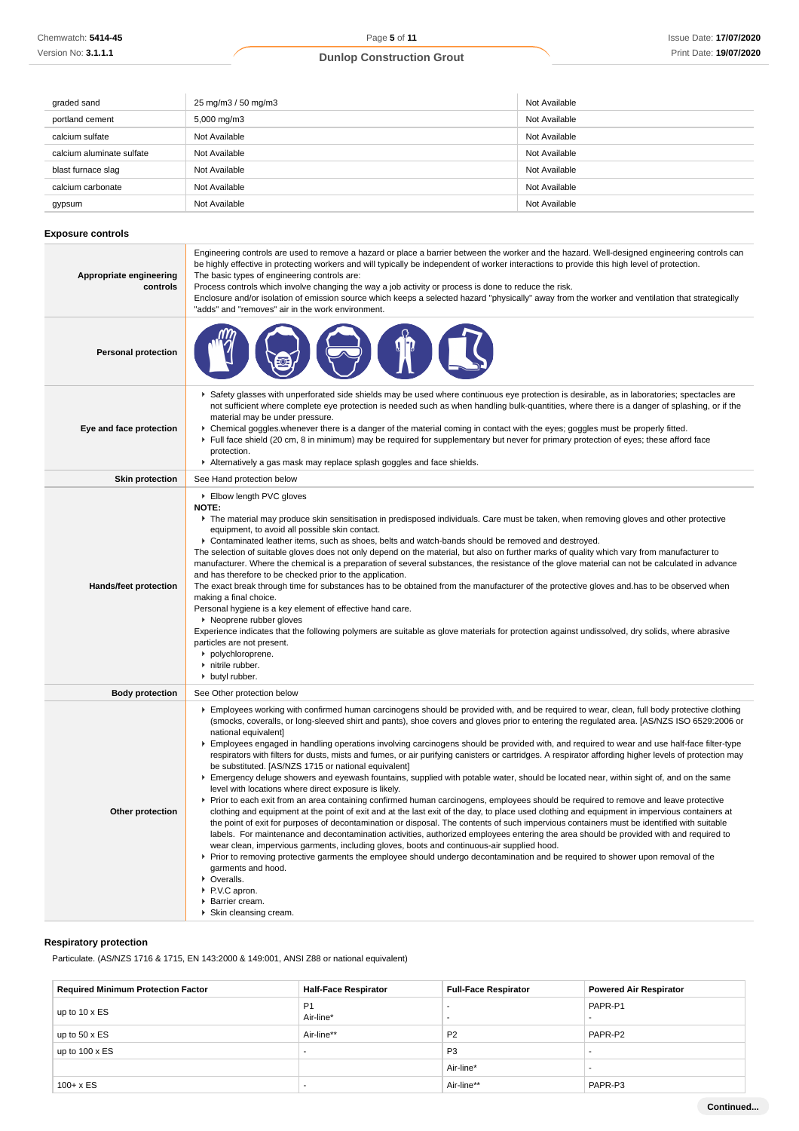| graded sand               | 25 mg/m3 / 50 mg/m3 | Not Available |
|---------------------------|---------------------|---------------|
| portland cement           | 5,000 mg/m3         | Not Available |
| calcium sulfate           | Not Available       | Not Available |
| calcium aluminate sulfate | Not Available       | Not Available |
| blast furnace slag        | Not Available       | Not Available |
| calcium carbonate         | Not Available       | Not Available |
| gypsum                    | Not Available       | Not Available |

## **Exposure controls**

| Appropriate engineering<br>controls | Engineering controls are used to remove a hazard or place a barrier between the worker and the hazard. Well-designed engineering controls can<br>be highly effective in protecting workers and will typically be independent of worker interactions to provide this high level of protection.<br>The basic types of engineering controls are:<br>Process controls which involve changing the way a job activity or process is done to reduce the risk.<br>Enclosure and/or isolation of emission source which keeps a selected hazard "physically" away from the worker and ventilation that strategically<br>"adds" and "removes" air in the work environment.                                                                                                                                                                                                                                                                                                                                                                                                                                                                                                                                                                                                                                                                                                                                                                                                                                                                                                                                                                                                                                                                                                                                            |
|-------------------------------------|------------------------------------------------------------------------------------------------------------------------------------------------------------------------------------------------------------------------------------------------------------------------------------------------------------------------------------------------------------------------------------------------------------------------------------------------------------------------------------------------------------------------------------------------------------------------------------------------------------------------------------------------------------------------------------------------------------------------------------------------------------------------------------------------------------------------------------------------------------------------------------------------------------------------------------------------------------------------------------------------------------------------------------------------------------------------------------------------------------------------------------------------------------------------------------------------------------------------------------------------------------------------------------------------------------------------------------------------------------------------------------------------------------------------------------------------------------------------------------------------------------------------------------------------------------------------------------------------------------------------------------------------------------------------------------------------------------------------------------------------------------------------------------------------------------|
| <b>Personal protection</b>          |                                                                                                                                                                                                                                                                                                                                                                                                                                                                                                                                                                                                                                                                                                                                                                                                                                                                                                                                                                                                                                                                                                                                                                                                                                                                                                                                                                                                                                                                                                                                                                                                                                                                                                                                                                                                            |
| Eye and face protection             | ▶ Safety glasses with unperforated side shields may be used where continuous eye protection is desirable, as in laboratories; spectacles are<br>not sufficient where complete eye protection is needed such as when handling bulk-quantities, where there is a danger of splashing, or if the<br>material may be under pressure.<br>▶ Chemical goggles.whenever there is a danger of the material coming in contact with the eyes; goggles must be properly fitted.<br>Full face shield (20 cm, 8 in minimum) may be required for supplementary but never for primary protection of eyes; these afford face<br>protection.<br>Alternatively a gas mask may replace splash goggles and face shields.                                                                                                                                                                                                                                                                                                                                                                                                                                                                                                                                                                                                                                                                                                                                                                                                                                                                                                                                                                                                                                                                                                        |
| <b>Skin protection</b>              | See Hand protection below                                                                                                                                                                                                                                                                                                                                                                                                                                                                                                                                                                                                                                                                                                                                                                                                                                                                                                                                                                                                                                                                                                                                                                                                                                                                                                                                                                                                                                                                                                                                                                                                                                                                                                                                                                                  |
| Hands/feet protection               | Elbow length PVC gloves<br><b>NOTE:</b><br>The material may produce skin sensitisation in predisposed individuals. Care must be taken, when removing gloves and other protective<br>equipment, to avoid all possible skin contact.<br>► Contaminated leather items, such as shoes, belts and watch-bands should be removed and destroyed.<br>The selection of suitable gloves does not only depend on the material, but also on further marks of quality which vary from manufacturer to<br>manufacturer. Where the chemical is a preparation of several substances, the resistance of the glove material can not be calculated in advance<br>and has therefore to be checked prior to the application.<br>The exact break through time for substances has to be obtained from the manufacturer of the protective gloves and has to be observed when<br>making a final choice.<br>Personal hygiene is a key element of effective hand care.<br>▶ Neoprene rubber gloves<br>Experience indicates that the following polymers are suitable as glove materials for protection against undissolved, dry solids, where abrasive<br>particles are not present.<br>• polychloroprene.<br>nitrile rubber.<br>butyl rubber.                                                                                                                                                                                                                                                                                                                                                                                                                                                                                                                                                                                         |
| <b>Body protection</b>              | See Other protection below                                                                                                                                                                                                                                                                                                                                                                                                                                                                                                                                                                                                                                                                                                                                                                                                                                                                                                                                                                                                                                                                                                                                                                                                                                                                                                                                                                                                                                                                                                                                                                                                                                                                                                                                                                                 |
| Other protection                    | Employees working with confirmed human carcinogens should be provided with, and be required to wear, clean, full body protective clothing<br>(smocks, coveralls, or long-sleeved shirt and pants), shoe covers and gloves prior to entering the regulated area. [AS/NZS ISO 6529:2006 or<br>national equivalent]<br>Employees engaged in handling operations involving carcinogens should be provided with, and required to wear and use half-face filter-type<br>respirators with filters for dusts, mists and fumes, or air purifying canisters or cartridges. A respirator affording higher levels of protection may<br>be substituted. [AS/NZS 1715 or national equivalent]<br>Emergency deluge showers and eyewash fountains, supplied with potable water, should be located near, within sight of, and on the same<br>level with locations where direct exposure is likely.<br>► Prior to each exit from an area containing confirmed human carcinogens, employees should be required to remove and leave protective<br>clothing and equipment at the point of exit and at the last exit of the day, to place used clothing and equipment in impervious containers at<br>the point of exit for purposes of decontamination or disposal. The contents of such impervious containers must be identified with suitable<br>labels. For maintenance and decontamination activities, authorized employees entering the area should be provided with and required to<br>wear clean, impervious garments, including gloves, boots and continuous-air supplied hood.<br>▶ Prior to removing protective garments the employee should undergo decontamination and be required to shower upon removal of the<br>garments and hood.<br>• Overalls.<br>▶ P.V.C apron.<br>▶ Barrier cream.<br>Skin cleansing cream. |

# **Respiratory protection**

Particulate. (AS/NZS 1716 & 1715, EN 143:2000 & 149:001, ANSI Z88 or national equivalent)

| <b>Required Minimum Protection Factor</b> | <b>Half-Face Respirator</b> | <b>Full-Face Respirator</b> | <b>Powered Air Respirator</b> |
|-------------------------------------------|-----------------------------|-----------------------------|-------------------------------|
| up to 10 x ES                             | P <sub>1</sub>              |                             | PAPR-P1                       |
|                                           | Air-line*                   |                             |                               |
| up to $50 \times ES$                      | Air-line**                  | P <sub>2</sub>              | PAPR-P2                       |
| up to $100 \times ES$                     |                             | P <sub>3</sub>              |                               |
|                                           |                             | Air-line*                   |                               |
| $100 + x ES$                              |                             | Air-line**                  | PAPR-P3                       |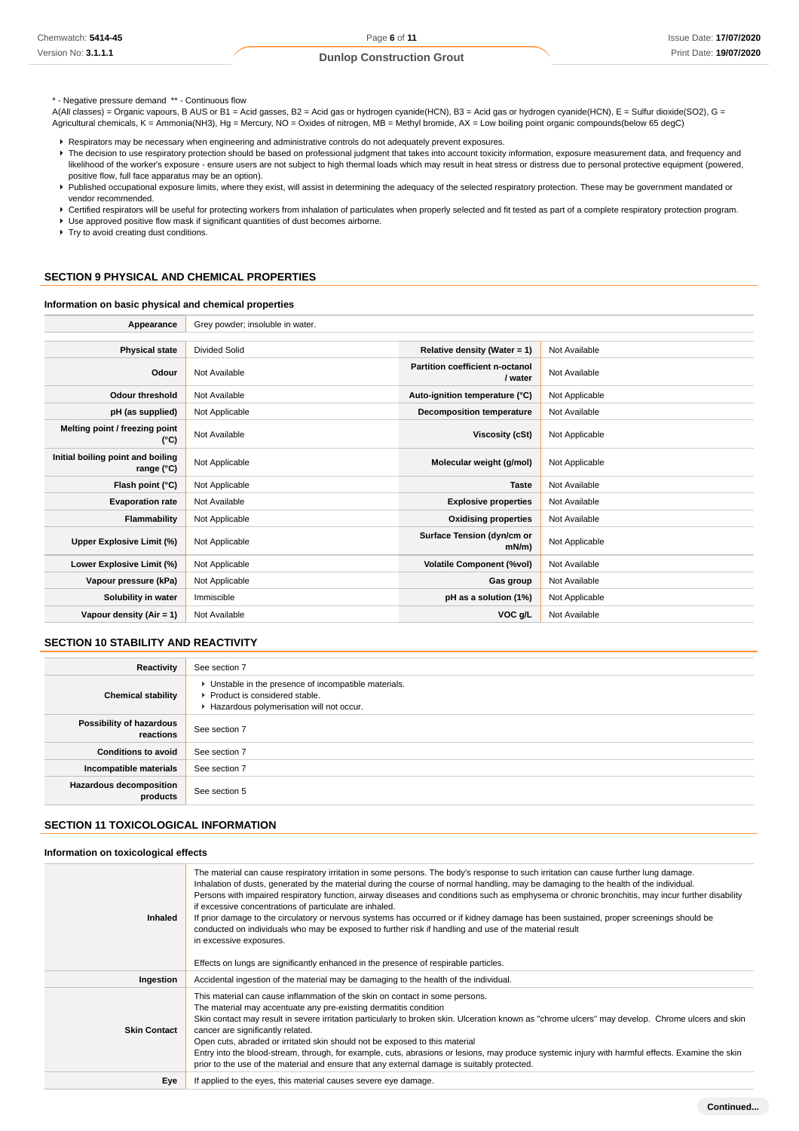\* - Negative pressure demand \*\* - Continuous flow

A(All classes) = Organic vapours, B AUS or B1 = Acid gasses, B2 = Acid gas or hydrogen cyanide(HCN), B3 = Acid gas or hydrogen cyanide(HCN), E = Sulfur dioxide(SO2), G = Agricultural chemicals, K = Ammonia(NH3), Hg = Mercury, NO = Oxides of nitrogen, MB = Methyl bromide, AX = Low boiling point organic compounds(below 65 degC)

- Respirators may be necessary when engineering and administrative controls do not adequately prevent exposures.
- F The decision to use respiratory protection should be based on professional judgment that takes into account toxicity information, exposure measurement data, and frequency and likelihood of the worker's exposure - ensure users are not subject to high thermal loads which may result in heat stress or distress due to personal protective equipment (powered, positive flow, full face apparatus may be an option).
- Published occupational exposure limits, where they exist, will assist in determining the adequacy of the selected respiratory protection. These may be government mandated or vendor recommended.
- ▶ Certified respirators will be useful for protecting workers from inhalation of particulates when properly selected and fit tested as part of a complete respiratory protection program.
- Use approved positive flow mask if significant quantities of dust becomes airborne.
- **F** Try to avoid creating dust conditions.

## **SECTION 9 PHYSICAL AND CHEMICAL PROPERTIES**

#### **Information on basic physical and chemical properties**

| Appearance                                      | Grey powder; insoluble in water. |                                            |                |
|-------------------------------------------------|----------------------------------|--------------------------------------------|----------------|
|                                                 |                                  |                                            |                |
| <b>Physical state</b>                           | <b>Divided Solid</b>             | Relative density (Water = 1)               | Not Available  |
| Odour                                           | Not Available                    | Partition coefficient n-octanol<br>/ water | Not Available  |
| <b>Odour threshold</b>                          | Not Available                    | Auto-ignition temperature (°C)             | Not Applicable |
| pH (as supplied)                                | Not Applicable                   | Decomposition temperature                  | Not Available  |
| Melting point / freezing point<br>$(^{\circ}C)$ | Not Available                    | Viscosity (cSt)                            | Not Applicable |
| Initial boiling point and boiling<br>range (°C) | Not Applicable                   | Molecular weight (g/mol)                   | Not Applicable |
| Flash point (°C)                                | Not Applicable                   | <b>Taste</b>                               | Not Available  |
| <b>Evaporation rate</b>                         | Not Available                    | <b>Explosive properties</b>                | Not Available  |
| Flammability                                    | Not Applicable                   | <b>Oxidising properties</b>                | Not Available  |
| Upper Explosive Limit (%)                       | Not Applicable                   | Surface Tension (dyn/cm or<br>$mN/m$ )     | Not Applicable |
| Lower Explosive Limit (%)                       | Not Applicable                   | <b>Volatile Component (%vol)</b>           | Not Available  |
| Vapour pressure (kPa)                           | Not Applicable                   | Gas group                                  | Not Available  |
| Solubility in water                             | Immiscible                       | pH as a solution (1%)                      | Not Applicable |
| Vapour density $(Air = 1)$                      | Not Available                    | VOC g/L                                    | Not Available  |

# **SECTION 10 STABILITY AND REACTIVITY**

| Reactivity                                 | See section 7                                                                                                                        |
|--------------------------------------------|--------------------------------------------------------------------------------------------------------------------------------------|
| <b>Chemical stability</b>                  | • Unstable in the presence of incompatible materials.<br>▶ Product is considered stable.<br>Hazardous polymerisation will not occur. |
| Possibility of hazardous<br>reactions      | See section 7                                                                                                                        |
| <b>Conditions to avoid</b>                 | See section 7                                                                                                                        |
| Incompatible materials                     | See section 7                                                                                                                        |
| <b>Hazardous decomposition</b><br>products | See section 5                                                                                                                        |

#### **SECTION 11 TOXICOLOGICAL INFORMATION**

**Information on toxicological effects**

| <b>Inhaled</b>      | The material can cause respiratory irritation in some persons. The body's response to such irritation can cause further lung damage.<br>Inhalation of dusts, generated by the material during the course of normal handling, may be damaging to the health of the individual.<br>Persons with impaired respiratory function, airway diseases and conditions such as emphysema or chronic bronchitis, may incur further disability<br>if excessive concentrations of particulate are inhaled.<br>If prior damage to the circulatory or nervous systems has occurred or if kidney damage has been sustained, proper screenings should be<br>conducted on individuals who may be exposed to further risk if handling and use of the material result<br>in excessive exposures.<br>Effects on lungs are significantly enhanced in the presence of respirable particles. |
|---------------------|---------------------------------------------------------------------------------------------------------------------------------------------------------------------------------------------------------------------------------------------------------------------------------------------------------------------------------------------------------------------------------------------------------------------------------------------------------------------------------------------------------------------------------------------------------------------------------------------------------------------------------------------------------------------------------------------------------------------------------------------------------------------------------------------------------------------------------------------------------------------|
| Ingestion           | Accidental ingestion of the material may be damaging to the health of the individual.                                                                                                                                                                                                                                                                                                                                                                                                                                                                                                                                                                                                                                                                                                                                                                               |
| <b>Skin Contact</b> | This material can cause inflammation of the skin on contact in some persons.<br>The material may accentuate any pre-existing dermatitis condition<br>Skin contact may result in severe irritation particularly to broken skin. Ulceration known as "chrome ulcers" may develop. Chrome ulcers and skin<br>cancer are significantly related.<br>Open cuts, abraded or irritated skin should not be exposed to this material<br>Entry into the blood-stream, through, for example, cuts, abrasions or lesions, may produce systemic injury with harmful effects. Examine the skin<br>prior to the use of the material and ensure that any external damage is suitably protected.                                                                                                                                                                                      |
| Eye                 | If applied to the eyes, this material causes severe eye damage.                                                                                                                                                                                                                                                                                                                                                                                                                                                                                                                                                                                                                                                                                                                                                                                                     |
|                     |                                                                                                                                                                                                                                                                                                                                                                                                                                                                                                                                                                                                                                                                                                                                                                                                                                                                     |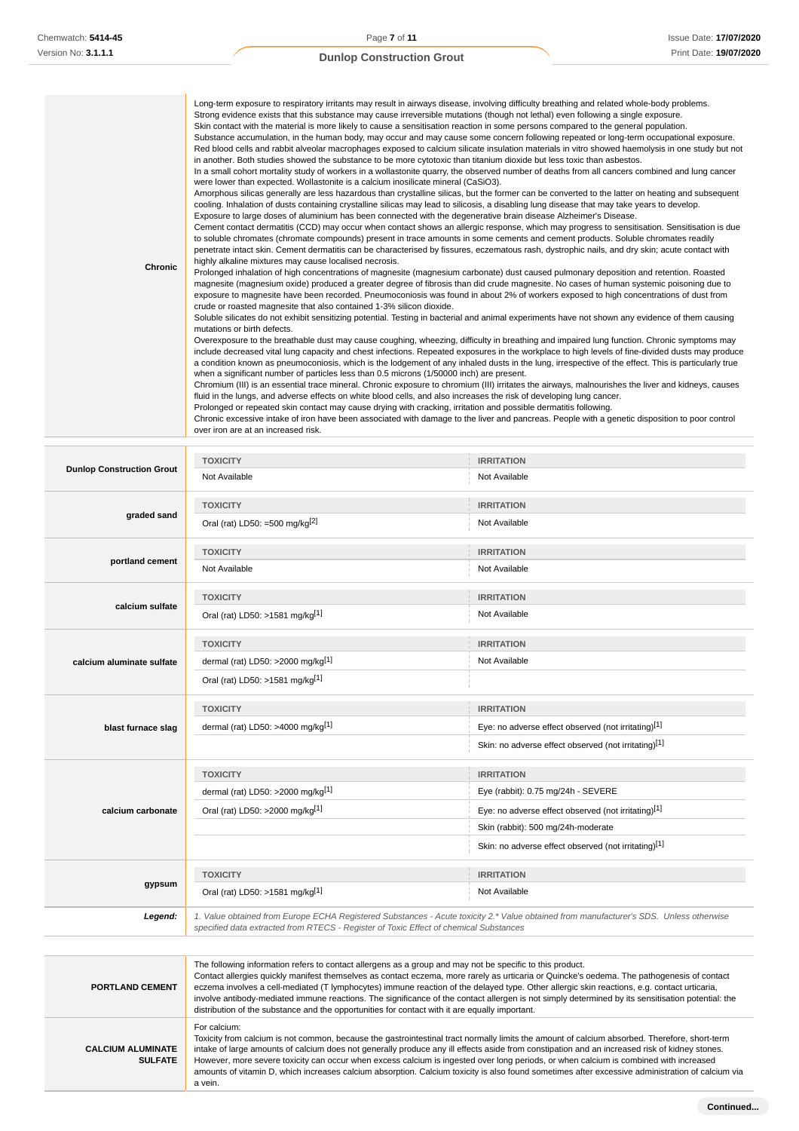| <b>Chronic</b> | Long-term exposure to respiratory irritants may result in airways disease, involving difficulty breathing and related whole-body problems.<br>Strong evidence exists that this substance may cause irreversible mutations (though not lethal) even following a single exposure.<br>Skin contact with the material is more likely to cause a sensitisation reaction in some persons compared to the general population.<br>Substance accumulation, in the human body, may occur and may cause some concern following repeated or long-term occupational exposure.<br>Red blood cells and rabbit alveolar macrophages exposed to calcium silicate insulation materials in vitro showed haemolysis in one study but not<br>in another. Both studies showed the substance to be more cytotoxic than titanium dioxide but less toxic than asbestos.<br>In a small cohort mortality study of workers in a wollastonite quarry, the observed number of deaths from all cancers combined and lung cancer<br>were lower than expected. Wollastonite is a calcium inosilicate mineral (CaSiO3).<br>Amorphous silicas generally are less hazardous than crystalline silicas, but the former can be converted to the latter on heating and subsequent<br>cooling. Inhalation of dusts containing crystalline silicas may lead to silicosis, a disabling lung disease that may take years to develop.<br>Exposure to large doses of aluminium has been connected with the degenerative brain disease Alzheimer's Disease.<br>Cement contact dermatitis (CCD) may occur when contact shows an allergic response, which may progress to sensitisation. Sensitisation is due<br>to soluble chromates (chromate compounds) present in trace amounts in some cements and cement products. Soluble chromates readily<br>penetrate intact skin. Cement dermatitis can be characterised by fissures, eczematous rash, dystrophic nails, and dry skin; acute contact with<br>highly alkaline mixtures may cause localised necrosis.<br>Prolonged inhalation of high concentrations of magnesite (magnesium carbonate) dust caused pulmonary deposition and retention. Roasted<br>magnesite (magnesium oxide) produced a greater degree of fibrosis than did crude magnesite. No cases of human systemic poisoning due to<br>exposure to magnesite have been recorded. Pneumoconiosis was found in about 2% of workers exposed to high concentrations of dust from<br>crude or roasted magnesite that also contained 1-3% silicon dioxide.<br>Soluble silicates do not exhibit sensitizing potential. Testing in bacterial and animal experiments have not shown any evidence of them causing<br>mutations or birth defects.<br>Overexposure to the breathable dust may cause coughing, wheezing, difficulty in breathing and impaired lung function. Chronic symptoms may<br>include decreased vital lung capacity and chest infections. Repeated exposures in the workplace to high levels of fine-divided dusts may produce<br>a condition known as pneumoconiosis, which is the lodgement of any inhaled dusts in the lung, irrespective of the effect. This is particularly true<br>when a significant number of particles less than 0.5 microns (1/50000 inch) are present.<br>Chromium (III) is an essential trace mineral. Chronic exposure to chromium (III) irritates the airways, malnourishes the liver and kidneys, causes<br>fluid in the lungs, and adverse effects on white blood cells, and also increases the risk of developing lung cancer.<br>Prolonged or repeated skin contact may cause drying with cracking, irritation and possible dermatitis following. |
|----------------|--------------------------------------------------------------------------------------------------------------------------------------------------------------------------------------------------------------------------------------------------------------------------------------------------------------------------------------------------------------------------------------------------------------------------------------------------------------------------------------------------------------------------------------------------------------------------------------------------------------------------------------------------------------------------------------------------------------------------------------------------------------------------------------------------------------------------------------------------------------------------------------------------------------------------------------------------------------------------------------------------------------------------------------------------------------------------------------------------------------------------------------------------------------------------------------------------------------------------------------------------------------------------------------------------------------------------------------------------------------------------------------------------------------------------------------------------------------------------------------------------------------------------------------------------------------------------------------------------------------------------------------------------------------------------------------------------------------------------------------------------------------------------------------------------------------------------------------------------------------------------------------------------------------------------------------------------------------------------------------------------------------------------------------------------------------------------------------------------------------------------------------------------------------------------------------------------------------------------------------------------------------------------------------------------------------------------------------------------------------------------------------------------------------------------------------------------------------------------------------------------------------------------------------------------------------------------------------------------------------------------------------------------------------------------------------------------------------------------------------------------------------------------------------------------------------------------------------------------------------------------------------------------------------------------------------------------------------------------------------------------------------------------------------------------------------------------------------------------------------------------------------------------------------------------------------------------------------------------------------------------------------------------------------------------------------------------------------------------------------------------------------------------------------------------------------------------------------------------------------------------------------------------------------------------------------------------------------------------------------------------------------------------------------|
|                | Chronic excessive intake of iron have been associated with damage to the liver and pancreas. People with a genetic disposition to poor control<br>over iron are at an increased risk.                                                                                                                                                                                                                                                                                                                                                                                                                                                                                                                                                                                                                                                                                                                                                                                                                                                                                                                                                                                                                                                                                                                                                                                                                                                                                                                                                                                                                                                                                                                                                                                                                                                                                                                                                                                                                                                                                                                                                                                                                                                                                                                                                                                                                                                                                                                                                                                                                                                                                                                                                                                                                                                                                                                                                                                                                                                                                                                                                                                                                                                                                                                                                                                                                                                                                                                                                                                                                                                                        |

|                                                                                       | <b>TOXICITY</b>                                                                                                                        | <b>IRRITATION</b>                                    |  |
|---------------------------------------------------------------------------------------|----------------------------------------------------------------------------------------------------------------------------------------|------------------------------------------------------|--|
| <b>Dunlop Construction Grout</b>                                                      | Not Available                                                                                                                          | Not Available                                        |  |
|                                                                                       | <b>TOXICITY</b>                                                                                                                        | <b>IRRITATION</b>                                    |  |
| graded sand                                                                           | Oral (rat) LD50: =500 mg/kg $^{[2]}$                                                                                                   | Not Available                                        |  |
|                                                                                       | <b>TOXICITY</b>                                                                                                                        | <b>IRRITATION</b>                                    |  |
| portland cement                                                                       | Not Available                                                                                                                          | Not Available                                        |  |
|                                                                                       | <b>TOXICITY</b>                                                                                                                        | <b>IRRITATION</b>                                    |  |
| calcium sulfate                                                                       | Oral (rat) LD50: >1581 mg/kg[1]                                                                                                        | Not Available                                        |  |
|                                                                                       | <b>TOXICITY</b>                                                                                                                        | <b>IRRITATION</b>                                    |  |
| calcium aluminate sulfate                                                             | dermal (rat) LD50: >2000 mg/kg[1]                                                                                                      | Not Available                                        |  |
|                                                                                       | Oral (rat) LD50: >1581 mg/kg[1]                                                                                                        |                                                      |  |
|                                                                                       | <b>TOXICITY</b>                                                                                                                        | <b>IRRITATION</b>                                    |  |
| blast furnace slag                                                                    | dermal (rat) LD50: >4000 mg/kg <sup>[1]</sup>                                                                                          | Eye: no adverse effect observed (not irritating)[1]  |  |
|                                                                                       |                                                                                                                                        | Skin: no adverse effect observed (not irritating)[1] |  |
|                                                                                       | <b>TOXICITY</b>                                                                                                                        | <b>IRRITATION</b>                                    |  |
| calcium carbonate                                                                     | dermal (rat) LD50: >2000 mg/kg $[1]$                                                                                                   | Eye (rabbit): 0.75 mg/24h - SEVERE                   |  |
|                                                                                       | Oral (rat) LD50: >2000 mg/kg[1]                                                                                                        | Eye: no adverse effect observed (not irritating)[1]  |  |
|                                                                                       |                                                                                                                                        | Skin (rabbit): 500 mg/24h-moderate                   |  |
|                                                                                       |                                                                                                                                        | Skin: no adverse effect observed (not irritating)[1] |  |
|                                                                                       | <b>TOXICITY</b>                                                                                                                        | <b>IRRITATION</b>                                    |  |
| gypsum                                                                                | Oral (rat) LD50: >1581 mg/kg[1]                                                                                                        | Not Available                                        |  |
| Legend:                                                                               | 1. Value obtained from Europe ECHA Registered Substances - Acute toxicity 2.* Value obtained from manufacturer's SDS. Unless otherwise |                                                      |  |
| specified data extracted from RTECS - Register of Toxic Effect of chemical Substances |                                                                                                                                        |                                                      |  |

| <b>PORTLAND CEMENT</b>                     | The following information refers to contact allergens as a group and may not be specific to this product.<br>Contact allergies quickly manifest themselves as contact eczema, more rarely as urticaria or Quincke's oedema. The pathogenesis of contact<br>eczema involves a cell-mediated (T lymphocytes) immune reaction of the delayed type. Other allergic skin reactions, e.g. contact urticaria,<br>involve antibody-mediated immune reactions. The significance of the contact allergen is not simply determined by its sensitisation potential: the<br>distribution of the substance and the opportunities for contact with it are equally important. |
|--------------------------------------------|---------------------------------------------------------------------------------------------------------------------------------------------------------------------------------------------------------------------------------------------------------------------------------------------------------------------------------------------------------------------------------------------------------------------------------------------------------------------------------------------------------------------------------------------------------------------------------------------------------------------------------------------------------------|
| <b>CALCIUM ALUMINATE</b><br><b>SULFATE</b> | For calcium:<br>Toxicity from calcium is not common, because the gastrointestinal tract normally limits the amount of calcium absorbed. Therefore, short-term<br>intake of large amounts of calcium does not generally produce any ill effects aside from constipation and an increased risk of kidney stones.<br>However, more severe toxicity can occur when excess calcium is ingested over long periods, or when calcium is combined with increased<br>amounts of vitamin D, which increases calcium absorption. Calcium toxicity is also found sometimes after excessive administration of calcium via<br>a vein.                                        |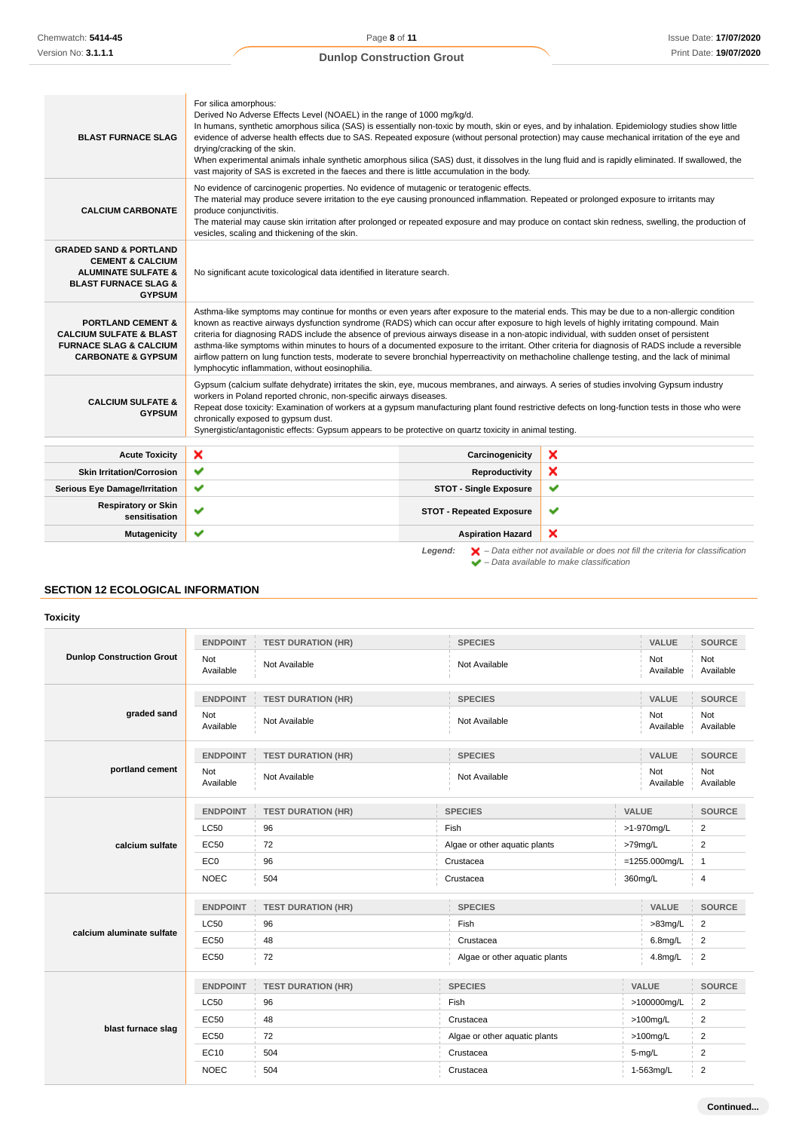| <b>BLAST FURNACE SLAG</b>                                                                                                                              | For silica amorphous:<br>Derived No Adverse Effects Level (NOAEL) in the range of 1000 mg/kg/d.<br>In humans, synthetic amorphous silica (SAS) is essentially non-toxic by mouth, skin or eyes, and by inhalation. Epidemiology studies show little<br>evidence of adverse health effects due to SAS. Repeated exposure (without personal protection) may cause mechanical irritation of the eye and<br>drying/cracking of the skin.<br>When experimental animals inhale synthetic amorphous silica (SAS) dust, it dissolves in the lung fluid and is rapidly eliminated. If swallowed, the<br>vast majority of SAS is excreted in the faeces and there is little accumulation in the body.                                                                                                  |                                 |                                                                                                    |
|--------------------------------------------------------------------------------------------------------------------------------------------------------|----------------------------------------------------------------------------------------------------------------------------------------------------------------------------------------------------------------------------------------------------------------------------------------------------------------------------------------------------------------------------------------------------------------------------------------------------------------------------------------------------------------------------------------------------------------------------------------------------------------------------------------------------------------------------------------------------------------------------------------------------------------------------------------------|---------------------------------|----------------------------------------------------------------------------------------------------|
| <b>CALCIUM CARBONATE</b>                                                                                                                               | No evidence of carcinogenic properties. No evidence of mutagenic or teratogenic effects.<br>The material may produce severe irritation to the eye causing pronounced inflammation. Repeated or prolonged exposure to irritants may<br>produce conjunctivitis.<br>The material may cause skin irritation after prolonged or repeated exposure and may produce on contact skin redness, swelling, the production of<br>vesicles, scaling and thickening of the skin.                                                                                                                                                                                                                                                                                                                           |                                 |                                                                                                    |
| <b>GRADED SAND &amp; PORTLAND</b><br><b>CEMENT &amp; CALCIUM</b><br><b>ALUMINATE SULFATE &amp;</b><br><b>BLAST FURNACE SLAG &amp;</b><br><b>GYPSUM</b> | No significant acute toxicological data identified in literature search.                                                                                                                                                                                                                                                                                                                                                                                                                                                                                                                                                                                                                                                                                                                     |                                 |                                                                                                    |
| <b>PORTLAND CEMENT &amp;</b><br><b>CALCIUM SULFATE &amp; BLAST</b><br><b>FURNACE SLAG &amp; CALCIUM</b><br><b>CARBONATE &amp; GYPSUM</b>               | Asthma-like symptoms may continue for months or even years after exposure to the material ends. This may be due to a non-allergic condition<br>known as reactive airways dysfunction syndrome (RADS) which can occur after exposure to high levels of highly irritating compound. Main<br>criteria for diagnosing RADS include the absence of previous airways disease in a non-atopic individual, with sudden onset of persistent<br>asthma-like symptoms within minutes to hours of a documented exposure to the irritant. Other criteria for diagnosis of RADS include a reversible<br>airflow pattern on lung function tests, moderate to severe bronchial hyperreactivity on methacholine challenge testing, and the lack of minimal<br>lymphocytic inflammation, without eosinophilia. |                                 |                                                                                                    |
| <b>CALCIUM SULFATE &amp;</b><br><b>GYPSUM</b>                                                                                                          | Gypsum (calcium sulfate dehydrate) irritates the skin, eye, mucous membranes, and airways. A series of studies involving Gypsum industry<br>workers in Poland reported chronic, non-specific airways diseases.<br>Repeat dose toxicity: Examination of workers at a gypsum manufacturing plant found restrictive defects on long-function tests in those who were<br>chronically exposed to gypsum dust.<br>Synergistic/antagonistic effects: Gypsum appears to be protective on quartz toxicity in animal testing.                                                                                                                                                                                                                                                                          |                                 |                                                                                                    |
| <b>Acute Toxicity</b>                                                                                                                                  | ×                                                                                                                                                                                                                                                                                                                                                                                                                                                                                                                                                                                                                                                                                                                                                                                            | Carcinogenicity                 | ×                                                                                                  |
| <b>Skin Irritation/Corrosion</b>                                                                                                                       | ✔                                                                                                                                                                                                                                                                                                                                                                                                                                                                                                                                                                                                                                                                                                                                                                                            | Reproductivity                  | ×                                                                                                  |
| <b>Serious Eye Damage/Irritation</b>                                                                                                                   | ✔                                                                                                                                                                                                                                                                                                                                                                                                                                                                                                                                                                                                                                                                                                                                                                                            | <b>STOT - Single Exposure</b>   | $\checkmark$                                                                                       |
| <b>Respiratory or Skin</b><br>sensitisation                                                                                                            | ✔                                                                                                                                                                                                                                                                                                                                                                                                                                                                                                                                                                                                                                                                                                                                                                                            | <b>STOT - Repeated Exposure</b> | ✔                                                                                                  |
| <b>Mutagenicity</b>                                                                                                                                    | ✔                                                                                                                                                                                                                                                                                                                                                                                                                                                                                                                                                                                                                                                                                                                                                                                            | <b>Aspiration Hazard</b>        | ×                                                                                                  |
|                                                                                                                                                        |                                                                                                                                                                                                                                                                                                                                                                                                                                                                                                                                                                                                                                                                                                                                                                                              | Leaend:                         | $\blacktriangleright$ - Data either not available or does not fill the criteria for classification |

 $\blacktriangleright$  – Data available to make classification

# **SECTION 12 ECOLOGICAL INFORMATION**

## **Toxicity**

|                                  | <b>ENDPOINT</b>  | <b>TEST DURATION (HR)</b> | <b>SPECIES</b>                           | VALUE            | <b>SOURCE</b>           |
|----------------------------------|------------------|---------------------------|------------------------------------------|------------------|-------------------------|
| <b>Dunlop Construction Grout</b> | Not<br>Available | Not Available             | Not Available                            | Not<br>Available | Not<br>Available        |
|                                  | <b>ENDPOINT</b>  | <b>TEST DURATION (HR)</b> | <b>SPECIES</b>                           | <b>VALUE</b>     | <b>SOURCE</b>           |
| graded sand                      | Not<br>Available | Not Available             | Not Available                            | Not<br>Available | Not<br>Available        |
|                                  | <b>ENDPOINT</b>  | <b>TEST DURATION (HR)</b> | <b>SPECIES</b>                           | VALUE            | <b>SOURCE</b>           |
| portland cement                  | Not<br>Available | Not Available             | Not Available                            | Not<br>Available | Not<br>Available        |
|                                  | <b>ENDPOINT</b>  | <b>TEST DURATION (HR)</b> | <b>SPECIES</b>                           | <b>VALUE</b>     | <b>SOURCE</b>           |
|                                  | <b>LC50</b>      | 96                        | Fish<br>>1-970mg/L                       |                  | $\overline{2}$          |
| calcium sulfate                  | <b>EC50</b>      | 72                        | Algae or other aquatic plants<br>>79mg/L |                  | $\overline{2}$          |
|                                  | EC <sub>0</sub>  | 96                        | Crustacea                                | $=1255.000$ mg/L | $\overline{1}$          |
|                                  | <b>NOEC</b>      | 504                       | Crustacea                                | 360mg/L          | 4                       |
| calcium aluminate sulfate        | <b>ENDPOINT</b>  | <b>TEST DURATION (HR)</b> | <b>SPECIES</b>                           | <b>VALUE</b>     | <b>SOURCE</b>           |
|                                  | <b>LC50</b>      | 96                        | Fish                                     | $>83$ mg/L       | $\overline{2}$          |
|                                  | <b>EC50</b>      | 48                        | Crustacea                                | $6.8$ mg/L       | $\overline{2}$          |
|                                  | <b>EC50</b>      | 72                        | Algae or other aquatic plants            | 4.8mg/L          | $\overline{\mathbf{c}}$ |
| blast furnace slag               | <b>ENDPOINT</b>  | <b>TEST DURATION (HR)</b> | <b>SPECIES</b>                           | VALUE            | <b>SOURCE</b>           |
|                                  | <b>LC50</b>      | 96                        | Fish                                     | >100000mg/L      | $\overline{2}$          |
|                                  | <b>EC50</b>      | 48                        | Crustacea                                | $>100$ mg/L      | 2                       |
|                                  | EC50             | 72                        | Algae or other aquatic plants            | $>100$ mg/L      | $\overline{2}$          |
|                                  | EC10             | 504                       | Crustacea                                | $5-mg/L$         | 2                       |
|                                  | <b>NOEC</b>      | 504                       | Crustacea                                | 1-563mg/L        | $\overline{2}$          |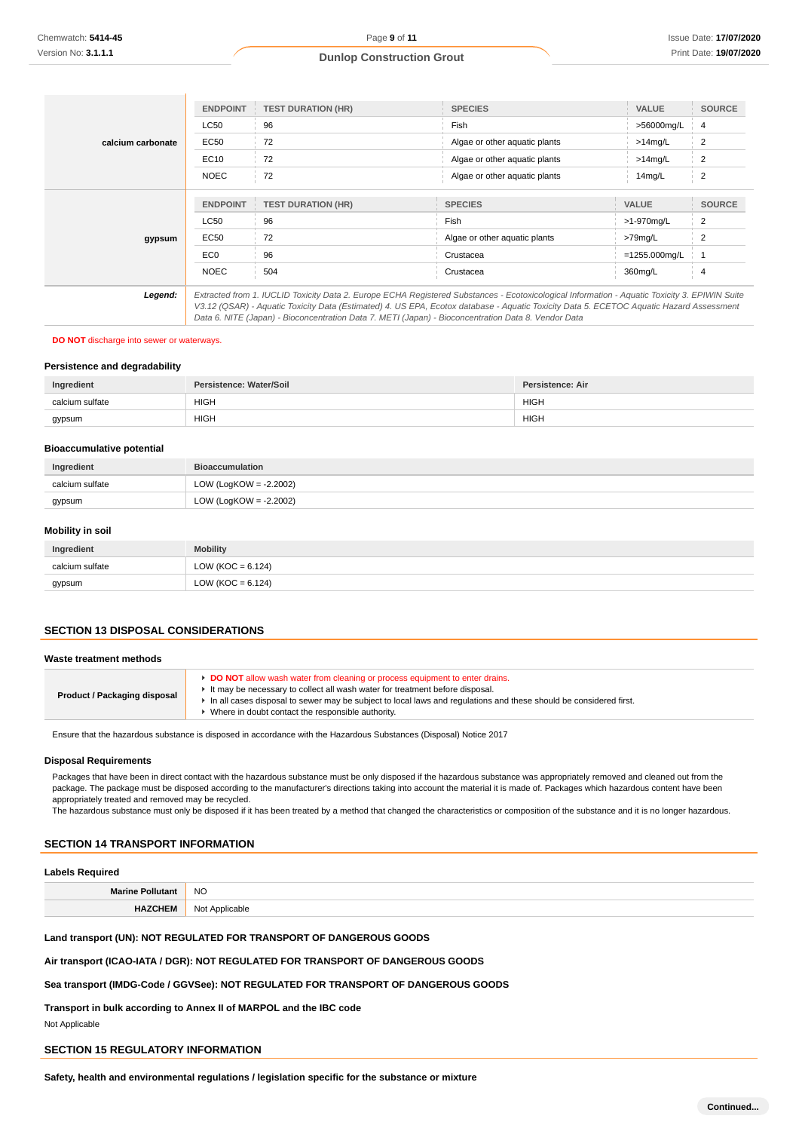|                   | <b>ENDPOINT</b>                                                                                                                                                                                                                                                                                                                                                                                 | <b>TEST DURATION (HR)</b> | <b>SPECIES</b>                | <b>VALUE</b>     | <b>SOURCE</b>  |
|-------------------|-------------------------------------------------------------------------------------------------------------------------------------------------------------------------------------------------------------------------------------------------------------------------------------------------------------------------------------------------------------------------------------------------|---------------------------|-------------------------------|------------------|----------------|
|                   | LC50                                                                                                                                                                                                                                                                                                                                                                                            | 96                        | Fish                          | >56000mg/L       | $\overline{4}$ |
| calcium carbonate | <b>EC50</b>                                                                                                                                                                                                                                                                                                                                                                                     | 72                        | Algae or other aquatic plants | $>14$ mg/L       | 2              |
|                   | EC10                                                                                                                                                                                                                                                                                                                                                                                            | 72                        | Algae or other aquatic plants | $>14$ mg/L       | $\overline{2}$ |
|                   | <b>NOEC</b>                                                                                                                                                                                                                                                                                                                                                                                     | 72                        | Algae or other aquatic plants | 14mg/L           | 2              |
|                   |                                                                                                                                                                                                                                                                                                                                                                                                 |                           |                               |                  |                |
|                   | <b>ENDPOINT</b>                                                                                                                                                                                                                                                                                                                                                                                 | <b>TEST DURATION (HR)</b> | <b>SPECIES</b>                | <b>VALUE</b>     | <b>SOURCE</b>  |
|                   | LC50                                                                                                                                                                                                                                                                                                                                                                                            | 96                        | Fish                          | >1-970mg/L       | $\overline{2}$ |
| gypsum            | <b>EC50</b>                                                                                                                                                                                                                                                                                                                                                                                     | 72                        | Algae or other aquatic plants | $>79$ mg/L       |                |
|                   | EC0                                                                                                                                                                                                                                                                                                                                                                                             | 96                        | Crustacea                     | $=1255.000$ mg/L |                |
|                   | <b>NOEC</b>                                                                                                                                                                                                                                                                                                                                                                                     | 504                       | Crustacea                     | 360mg/L          | $\overline{4}$ |
| Legend:           | Extracted from 1. IUCLID Toxicity Data 2. Europe ECHA Registered Substances - Ecotoxicological Information - Aquatic Toxicity 3. EPIWIN Suite<br>V3.12 (QSAR) - Aquatic Toxicity Data (Estimated) 4. US EPA, Ecotox database - Aquatic Toxicity Data 5. ECETOC Aquatic Hazard Assessment<br>Data 6. NITE (Japan) - Bioconcentration Data 7. METI (Japan) - Bioconcentration Data 8. Vendor Data |                           |                               |                  |                |

# **DO NOT** discharge into sewer or waterways.

#### **Persistence and degradability**

| Ingredient      | Persistence: Water/Soil | <b>Persistence: Air</b> |
|-----------------|-------------------------|-------------------------|
| calcium sulfate | <b>HIGH</b>             | <b>HIGH</b>             |
| gypsum          | <b>HIGH</b>             | <b>HIGH</b>             |

## **Bioaccumulative potential**

| Ingredient      | <b>Bioaccumulation</b>    |
|-----------------|---------------------------|
| calcium sulfate | LOW (LogKOW = $-2.2002$ ) |
| gypsum          | LOW (LogKOW = $-2.2002$ ) |

#### **Mobility in soil**

| Ingredient      | <b>Mobility</b>       |
|-----------------|-----------------------|
| calcium sulfate | LOW ( $KOC = 6.124$ ) |
| gypsum          | LOW ( $KOC = 6.124$ ) |

# **SECTION 13 DISPOSAL CONSIDERATIONS**

#### **Waste treatment methods**

|--|

Ensure that the hazardous substance is disposed in accordance with the Hazardous Substances (Disposal) Notice 2017

#### **Disposal Requirements**

Packages that have been in direct contact with the hazardous substance must be only disposed if the hazardous substance was appropriately removed and cleaned out from the package. The package must be disposed according to the manufacturer's directions taking into account the material it is made of. Packages which hazardous content have been appropriately treated and removed may be recycled.

The hazardous substance must only be disposed if it has been treated by a method that changed the characteristics or composition of the substance and it is no longer hazardous.

# **SECTION 14 TRANSPORT INFORMATION**

## **Labels Required**

| NK |
|----|
|    |

**Land transport (UN): NOT REGULATED FOR TRANSPORT OF DANGEROUS GOODS**

**Air transport (ICAO-IATA / DGR): NOT REGULATED FOR TRANSPORT OF DANGEROUS GOODS**

#### **Sea transport (IMDG-Code / GGVSee): NOT REGULATED FOR TRANSPORT OF DANGEROUS GOODS**

**Transport in bulk according to Annex II of MARPOL and the IBC code** Not Applicable

# **SECTION 15 REGULATORY INFORMATION**

**Safety, health and environmental regulations / legislation specific for the substance or mixture**

**Continued...**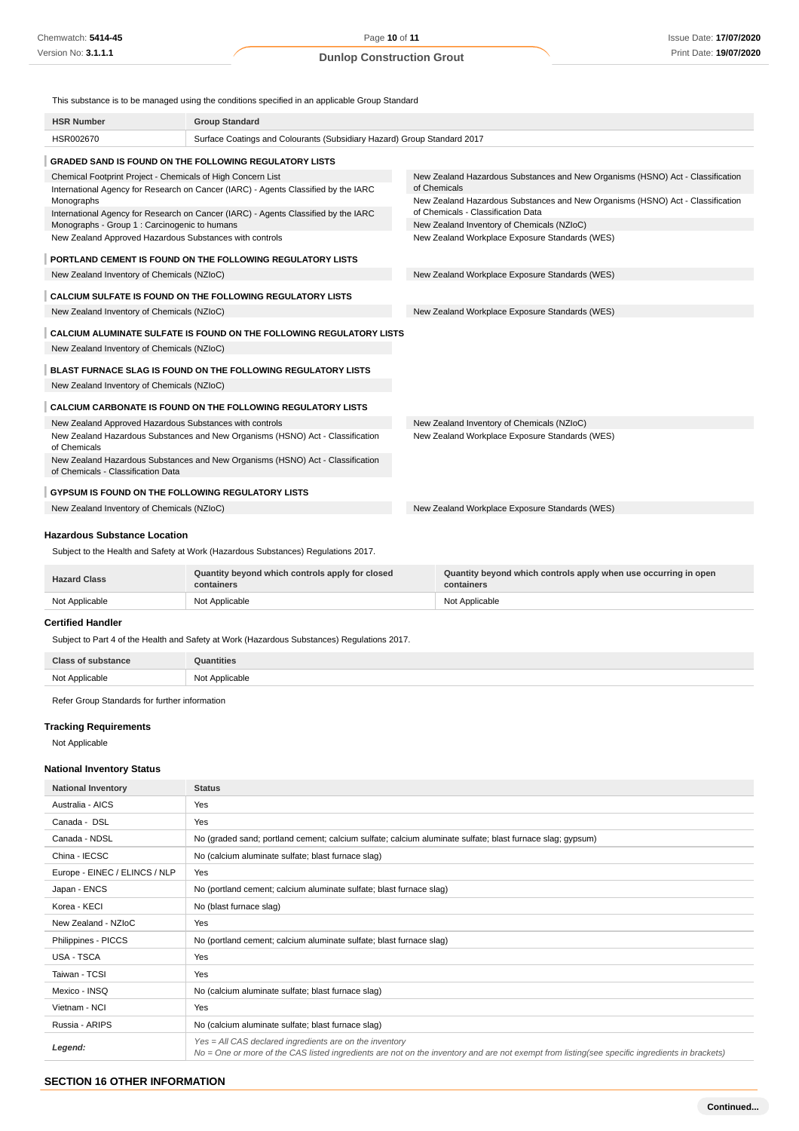This substance is to be managed using the conditions specified in an applicable Group Standard

| <b>HSR Number</b>                                                                                                                                 | <b>Group Standard</b>                                                             |                                                                                                                      |
|---------------------------------------------------------------------------------------------------------------------------------------------------|-----------------------------------------------------------------------------------|----------------------------------------------------------------------------------------------------------------------|
| HSR002670                                                                                                                                         | Surface Coatings and Colourants (Subsidiary Hazard) Group Standard 2017           |                                                                                                                      |
|                                                                                                                                                   | <b>GRADED SAND IS FOUND ON THE FOLLOWING REGULATORY LISTS</b>                     |                                                                                                                      |
| Chemical Footprint Project - Chemicals of High Concern List<br>International Agency for Research on Cancer (IARC) - Agents Classified by the IARC |                                                                                   | New Zealand Hazardous Substances and New Organisms (HSNO) Act - Classification<br>of Chemicals                       |
| Monographs<br>International Agency for Research on Cancer (IARC) - Agents Classified by the IARC                                                  |                                                                                   | New Zealand Hazardous Substances and New Organisms (HSNO) Act - Classification<br>of Chemicals - Classification Data |
| Monographs - Group 1 : Carcinogenic to humans                                                                                                     |                                                                                   | New Zealand Inventory of Chemicals (NZIoC)                                                                           |
| New Zealand Approved Hazardous Substances with controls                                                                                           |                                                                                   | New Zealand Workplace Exposure Standards (WES)                                                                       |
|                                                                                                                                                   | PORTLAND CEMENT IS FOUND ON THE FOLLOWING REGULATORY LISTS                        |                                                                                                                      |
| New Zealand Inventory of Chemicals (NZIoC)                                                                                                        |                                                                                   | New Zealand Workplace Exposure Standards (WES)                                                                       |
|                                                                                                                                                   | <b>CALCIUM SULFATE IS FOUND ON THE FOLLOWING REGULATORY LISTS</b>                 |                                                                                                                      |
| New Zealand Inventory of Chemicals (NZIoC)                                                                                                        |                                                                                   | New Zealand Workplace Exposure Standards (WES)                                                                       |
|                                                                                                                                                   | CALCIUM ALUMINATE SULFATE IS FOUND ON THE FOLLOWING REGULATORY LISTS              |                                                                                                                      |
| New Zealand Inventory of Chemicals (NZIoC)                                                                                                        |                                                                                   |                                                                                                                      |
|                                                                                                                                                   | BLAST FURNACE SLAG IS FOUND ON THE FOLLOWING REGULATORY LISTS                     |                                                                                                                      |
| New Zealand Inventory of Chemicals (NZIoC)                                                                                                        |                                                                                   |                                                                                                                      |
|                                                                                                                                                   | <b>CALCIUM CARBONATE IS FOUND ON THE FOLLOWING REGULATORY LISTS</b>               |                                                                                                                      |
| New Zealand Approved Hazardous Substances with controls                                                                                           |                                                                                   | New Zealand Inventory of Chemicals (NZIoC)                                                                           |
| New Zealand Hazardous Substances and New Organisms (HSNO) Act - Classification<br>of Chemicals                                                    |                                                                                   | New Zealand Workplace Exposure Standards (WES)                                                                       |
| of Chemicals - Classification Data                                                                                                                | New Zealand Hazardous Substances and New Organisms (HSNO) Act - Classification    |                                                                                                                      |
| <b>GYPSUM IS FOUND ON THE FOLLOWING REGULATORY LISTS</b>                                                                                          |                                                                                   |                                                                                                                      |
| New Zealand Inventory of Chemicals (NZIoC)                                                                                                        |                                                                                   | New Zealand Workplace Exposure Standards (WES)                                                                       |
| <b>Hazardous Substance Location</b>                                                                                                               |                                                                                   |                                                                                                                      |
|                                                                                                                                                   |                                                                                   |                                                                                                                      |
|                                                                                                                                                   | Subject to the Health and Safety at Work (Hazardous Substances) Regulations 2017. |                                                                                                                      |
| Hamand Oland                                                                                                                                      | Quantity beyond which controls apply for closed                                   | Quantity beyond which controls apply when use occurring in open                                                      |

| <b>Hazard Class</b> | Quantity beyond which controls apply for closed<br>containers | Quantity beyond which controls apply when use occurring in open<br>containers |
|---------------------|---------------------------------------------------------------|-------------------------------------------------------------------------------|
| Not Applicable      | Not Applicable                                                | Not Applicable                                                                |

## **Certified Handler**

Subject to Part 4 of the Health and Safety at Work (Hazardous Substances) Regulations 2017.

| Class.<br>tance     | <b>Quantities</b>                  |
|---------------------|------------------------------------|
| Not Applicable<br>. | Not Applicable<br><b>INOL</b><br>. |

Refer Group Standards for further information

# **Tracking Requirements**

Not Applicable

## **National Inventory Status**

| <b>National Inventory</b>     | <b>Status</b>                                                                                                                                                                                              |  |
|-------------------------------|------------------------------------------------------------------------------------------------------------------------------------------------------------------------------------------------------------|--|
| Australia - AICS              | Yes                                                                                                                                                                                                        |  |
| Canada - DSL                  | Yes                                                                                                                                                                                                        |  |
| Canada - NDSL                 | No (graded sand; portland cement; calcium sulfate; calcium aluminate sulfate; blast furnace slag; gypsum)                                                                                                  |  |
| China - IECSC                 | No (calcium aluminate sulfate; blast furnace slag)                                                                                                                                                         |  |
| Europe - EINEC / ELINCS / NLP | Yes                                                                                                                                                                                                        |  |
| Japan - ENCS                  | No (portland cement; calcium aluminate sulfate; blast furnace slag)                                                                                                                                        |  |
| Korea - KECI                  | No (blast furnace slag)                                                                                                                                                                                    |  |
| New Zealand - NZIoC           | Yes                                                                                                                                                                                                        |  |
| Philippines - PICCS           | No (portland cement; calcium aluminate sulfate; blast furnace slag)                                                                                                                                        |  |
| <b>USA - TSCA</b>             | Yes                                                                                                                                                                                                        |  |
| Taiwan - TCSI                 | Yes                                                                                                                                                                                                        |  |
| Mexico - INSQ                 | No (calcium aluminate sulfate; blast furnace slag)                                                                                                                                                         |  |
| Vietnam - NCI                 | Yes                                                                                                                                                                                                        |  |
| Russia - ARIPS                | No (calcium aluminate sulfate; blast furnace slag)                                                                                                                                                         |  |
| Legend:                       | $Yes = All CAS declared ingredients are on the inventory$<br>No = One or more of the CAS listed ingredients are not on the inventory and are not exempt from listing(see specific ingredients in brackets) |  |